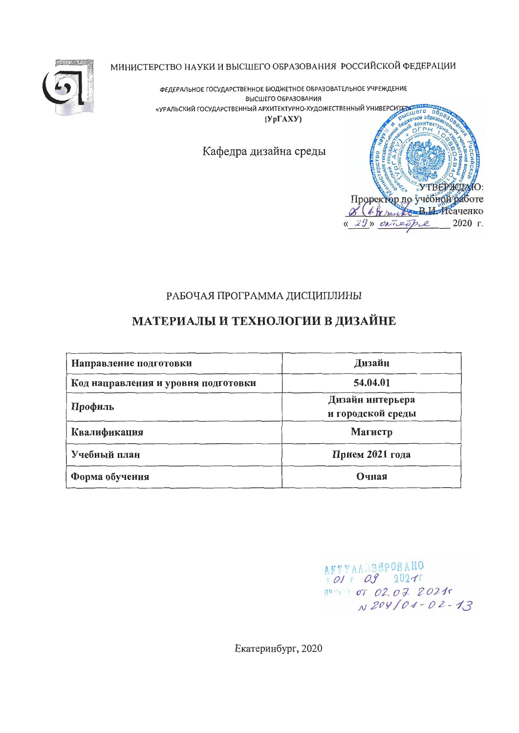МИНИСТЕРСТВО НАУКИ И ВЫСШЕГО ОБРАЗОВАНИЯ РОССИЙСКОЙ ФЕДЕРАЦИИ

ФЕДЕРАЛЬНОЕ ГОСУДАРСТВЕННОЕ БЮДЖЕТНОЕ ОБРАЗОВАТЕЛЬНОЕ УЧРЕЖДЕНИЕ ВЫСШЕГО ОБРАЗОВАНИЯ «УРАЛЬСКИЙ ГОСУДАРСТВЕННЫЙ АРХИТЕКТУРНО-ХУДОЖЕСТВЕННЫЙ УНИВЕРСИТЕ  $(Yp\Gamma A X Y)$ **nx**WTer

Кафедра дизайна среды

# РАБОЧАЯ ПРОГРАММА ДИСЦИПЛИНЫ

# МАТЕРИАЛЫ И ТЕХНОЛОГИИ В ДИЗАЙНЕ

| Направление подготовки              | Дизайн                                |  |  |  |
|-------------------------------------|---------------------------------------|--|--|--|
| Код направления и уровня подготовки | 54.04.01                              |  |  |  |
| Профиль                             | Дизайн интерьера<br>и городской среды |  |  |  |
| Квалификация                        | Магистр                               |  |  |  |
| Учебный план                        | Прием 2021 года                       |  |  |  |
| Форма обучения                      | Очная                                 |  |  |  |

AKTYAABSHPOBAHO NOW: 07 02.07. 2021 N 204/01-02-13

ТВЕРЖЛ

В.И. Исаченко

Проректор по учёбной работе

 $\overline{e}$ 

1. fr rue

 $29w$ 

ORTIZE

 $(O)$ 

2020 г.

Екатеринбург, 2020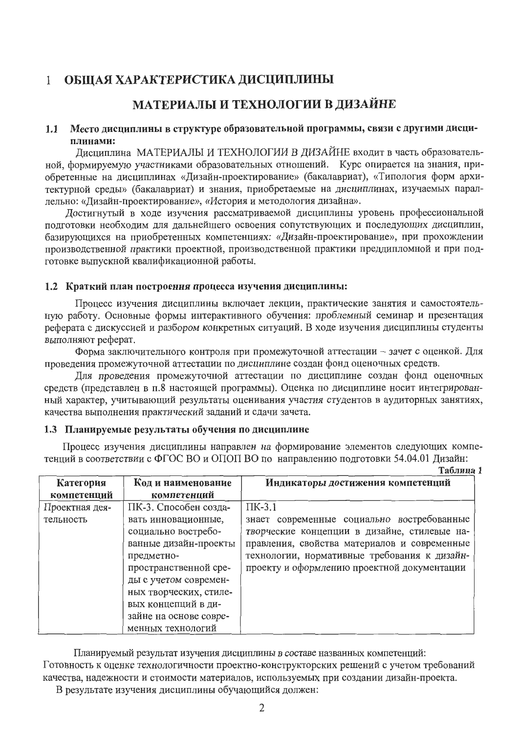#### ОБЩАЯ ХАРАКТЕРИСТИКА ДИСЦИПЛИНЫ  $\mathbf{1}$

# МАТЕРИАЛЫ И ТЕХНОЛОГИИ В ДИЗАЙНЕ

### Место дисциплины в структуре образовательной программы, связи с другими дисци- $1.1$ плинами:

Дисциплина МАТЕРИАЛЫ И ТЕХНОЛОГИИ В ДИЗАЙНЕ входит в часть образовательной, формируемую участниками образовательных отношений. Курс опирается на знания, приобретенные на дисциплинах «Дизайн-проектирование» (бакалавриат), «Типология форм архитектурной среды» (бакалавриат) и знания, приобретаемые на дисциплинах, изучаемых параллельно: «Дизайн-проектирование», «История и методология дизайна».

Лостигнутый в ходе изучения рассматриваемой дисциплины уровень профессиональной подготовки необходим для дальнейшего освоения сопутствующих и последующих дисциплин, базирующихся на приобретенных компетенциях: «Дизайн-проектирование», при прохождении производственной практики проектной, производственной практики преддипломной и при подготовке выпускной квалификационной работы.

### 1.2 Краткий план построения процесса изучения дисциплины:

Процесс изучения дисциплины включает лекции, практические занятия и самостоятельную работу. Основные формы интерактивного обучения: проблемный семинар и презентация реферата с дискуссией и разбором конкретных ситуаций. В ходе изучения дисциплины студенты выполняют реферат.

Форма заключительного контроля при промежуточной аттестации - зачет с оценкой. Для проведения промежуточной аттестации по дисциплине создан фонд оценочных средств.

Для проведения промежуточной аттестации по дисциплине создан фонд оценочных средств (представлен в п.8 настоящей программы). Оценка по дисциплине носит интегрированный характер, учитывающий результаты оценивания участия студентов в аудиторных занятиях, качества выполнения практический заданий и сдачи зачета.

### 1.3 Планируемые результаты обучения по дисциплине

Процесс изучения дисциплины направлен на формирование элементов следующих компетенций в соответствии с ФГОС ВО и ОПОП ВО по направлению подготовки 54.04.01 Дизайн:

|                |                        | Таблица 1                                    |
|----------------|------------------------|----------------------------------------------|
| Категория      | Код и наименование     | Индикаторы достижения компетенций            |
| компетенций    | компетенций            |                                              |
| Проектная дея- | ПК-3. Способен созда-  | $\Pi$ K-3.1                                  |
| тельность      | вать инновационные,    | знает современные социально востребованные   |
|                | социально востребо-    | творческие концепции в дизайне, стилевые на- |
|                | ванные дизайн-проекты  | правления, свойства материалов и современные |
|                | предметно-             | технологии, нормативные требования к дизайн- |
|                | пространственной сре-  | проекту и оформлению проектной документации  |
|                | ды с учетом современ-  |                                              |
|                | ных творческих, стиле- |                                              |
|                | вых концепций в ди-    |                                              |
|                | зайне на основе совре- |                                              |
|                | менных технологий      |                                              |

Планируемый результат изучения дисциплины в составе названных компетенций: Готовность к оценке технологичности проектно-конструкторских решений с учетом требований качества, надежности и стоимости материалов, используемых при создании дизайн-проекта.

В результате изучения дисциплины обучающийся должен: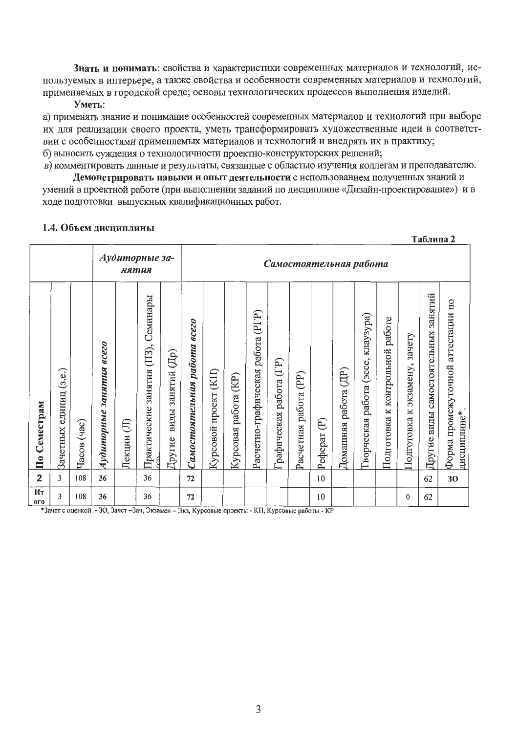Знать и понимать: свойства и характеристики современных материалов и технологий, используемых в интерьере, а также свойства и особенности современных материалов и технологий, применяемых в городской среде; основы технологических процессов выполнения изделий.

### Уметь:

а) применять знание и понимание особенностей современных материалов и технологий при выборе их для реализации своего проекта, уметь трансформировать художественные идеи в соответствии с особенностями применяемых материалов и технологий и внедрять их в практику; б) выносить суждения о технологичности проектно-конструкторских решений;

в) комментировать данные и результаты, связанные с областью изучения коллегам и преподавателю.

Демонстрировать навыки и опыт деятельности с использованием полученных знаний и умений в проектной работе (при выполнении заданий по дисциплине «Дизайн-проектирование») и в ходе подготовки выпускных квалификационных работ.

 $\sim$   $\sim$ 

## 1.4. Объем дисциплины

|                                      |                              |                |                          |             |                                        |                                             |                                        |                             |                            |                                         |                        |                          |                                   |                            |                                             |                                       |                                     | 1 аолица 2                               |                                                      |
|--------------------------------------|------------------------------|----------------|--------------------------|-------------|----------------------------------------|---------------------------------------------|----------------------------------------|-----------------------------|----------------------------|-----------------------------------------|------------------------|--------------------------|-----------------------------------|----------------------------|---------------------------------------------|---------------------------------------|-------------------------------------|------------------------------------------|------------------------------------------------------|
|                                      |                              |                |                          |             | Аудиторные за-<br>нятия                |                                             | Самостоятельная работа                 |                             |                            |                                         |                        |                          |                                   |                            |                                             |                                       |                                     |                                          |                                                      |
| Семестрам<br>$\overline{\mathbf{H}}$ | (3.e.)<br>единиц<br>Зачетных | (4ac)<br>Часов | Аудиторные занятия всего | E<br>Лекции | Семинары<br>Практические занятия (ПЗ), | $(\mathbb{H})$<br>занятий<br>виды<br>Другие | <b>8CC20</b><br>Самостоятельная работа | (KIT)<br>проект<br>Курсовой | (KP)<br>работа<br>Курсовая | (PTP)<br>работа<br>Расчетно-графическая | рафическая работа (ГР) | (PP)<br>Расчетная работа | $\widehat{\mathbf{e}}$<br>Pedepar | (HP)<br>работа<br>Домашняя | клаузура)<br>(acce,<br>работа<br>Гворческая | работе<br>контрольной<br>Подготовка к | зачету<br>экзамену,<br>Подготовка к | виды самостоятельных занятий<br>Другие 1 | аттестации по<br>Форма промежуточной<br>дисциплине*. |
| $\overline{2}$                       | 3                            | 108            | 36                       |             | 36                                     |                                             | 72                                     |                             |                            |                                         |                        |                          | 10                                |                            |                                             |                                       |                                     | 62                                       | 30                                                   |
| Ит<br>0 <sub>0</sub>                 | 3                            | 108            | 36                       |             | 36                                     |                                             | 72                                     |                             |                            |                                         |                        |                          | 10                                |                            |                                             |                                       | 0                                   | 62                                       |                                                      |

\*Зачет с оценкой - ЗО, Зачет-Зач, Экзамен - Экз, Курсовые проекты - КП, Курсовые работы - КР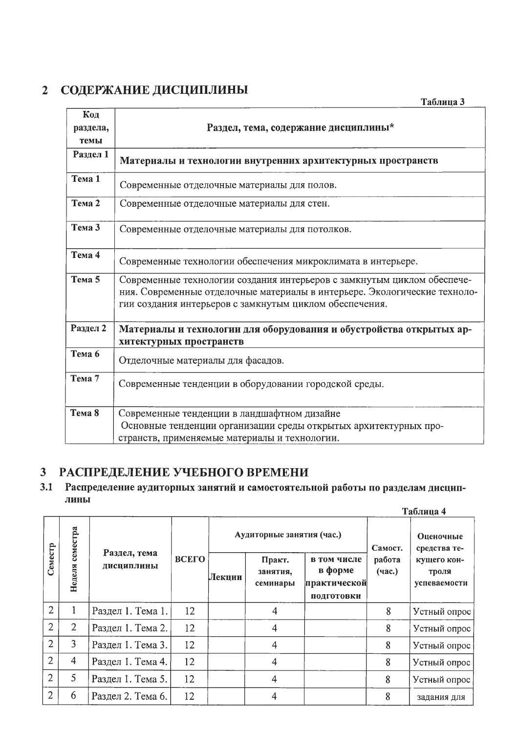# 2 СОДЕРЖАНИЕ ДИСЦИПЛИНЫ

| Код      |                                                                           |
|----------|---------------------------------------------------------------------------|
|          | Раздел, тема, содержание дисциплины*                                      |
| раздела, |                                                                           |
| темы     |                                                                           |
| Раздел 1 | Материалы и технологии внутренних архитектурных пространств               |
| Тема 1   | Современные отделочные материалы для полов.                               |
| Тема 2   | Современные отделочные материалы для стен.                                |
| Тема 3   | Современные отделочные материалы для потолков.                            |
| Тема 4   | Современные технологии обеспечения микроклимата в интерьере.              |
| Тема 5   | Современные технологии создания интерьеров с замкнутым циклом обеспече-   |
|          | ния. Современные отделочные материалы в интерьере. Экологические техноло- |
|          | гии создания интерьеров с замкнутым циклом обеспечения.                   |
| Раздел 2 | Материалы и технологии для оборудования и обустройства открытых ар-       |
|          | хитектурных пространств                                                   |
| Тема 6   | Отделочные материалы для фасадов.                                         |
| Тема 7   | Современные тенденции в оборудовании городской среды.                     |
| Тема 8   | Современные тенденции в ландшафтном дизайне                               |
|          | Основные тенденции организации среды открытых архитектурных про-          |
|          | странств, применяемые материалы и технологии.                             |
|          |                                                                           |

Таблина 3

# 3 РАСПРЕДЕЛЕНИЕ УЧЕБНОГО ВРЕМЕНИ

### $3.1$ Распределение аудиторных занятий и самостоятельной работы по разделам дисциплины

|                |                |                            |                                                   |  |                                                      |                  |                                      | Таблица 4    |
|----------------|----------------|----------------------------|---------------------------------------------------|--|------------------------------------------------------|------------------|--------------------------------------|--------------|
|                | семестра       |                            |                                                   |  | Аудиторные занятия (час.)                            | Самост.          | Оценочные<br>средства те-            |              |
| Семестр        | Неделя         | Раздел, тема<br>дисциплины | ВСЕГО<br>Практ.<br>занятия,<br>Лекции<br>семинары |  | в том числе<br>в форме<br>практической<br>подготовки | работа<br>(час.) | кущего кон-<br>троля<br>успеваемости |              |
| $\overline{2}$ |                | Раздел 1. Тема 1.          | 12                                                |  | $\overline{4}$                                       |                  | 8                                    | Устный опрос |
| $\overline{2}$ | $\overline{2}$ | Раздел 1. Тема 2.          | 12                                                |  | 4                                                    |                  | 8                                    | Устный опрос |
| $\overline{2}$ | 3              | Раздел 1. Тема 3.          | 12                                                |  | $\overline{4}$                                       |                  | 8                                    | Устный опрос |
| $\overline{2}$ | 4              | Раздел 1. Тема 4.          | 12                                                |  | $\overline{4}$                                       |                  | 8                                    | Устный опрос |
| $\overline{2}$ | 5              | Раздел 1. Тема 5.          | 12                                                |  | $\overline{4}$                                       |                  | 8                                    | Устный опрос |
| $\overline{2}$ | 6              | Раздел 2. Тема 6.          | 12                                                |  | $\overline{4}$                                       |                  | 8                                    | задания для  |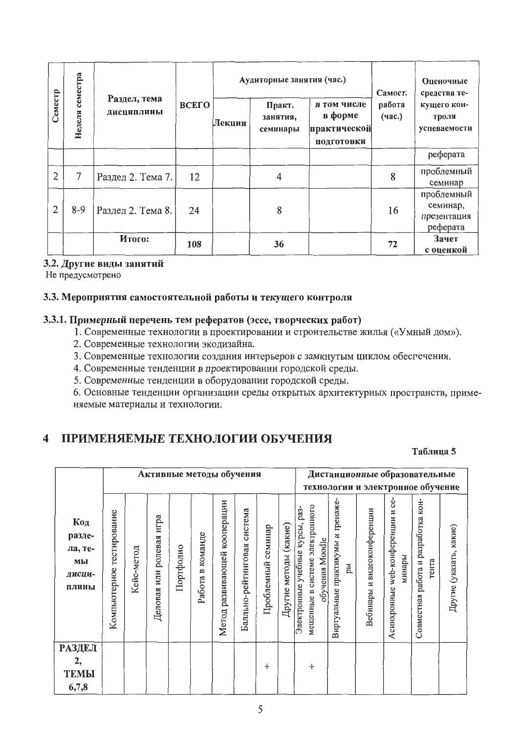|                | семестра |                            |       |        | Аудиторные занятия (час.)      | Самост.                                              | Оценочные<br>средства те- |                                                   |
|----------------|----------|----------------------------|-------|--------|--------------------------------|------------------------------------------------------|---------------------------|---------------------------------------------------|
| Семестр        | Неделя   | Раздел, тема<br>дисциплины | ВСЕГО | Лекции | Практ.<br>занятия,<br>семинары | в том числе<br>в форме<br>практической<br>подготовки | работа<br>(4ac.)          | кущего кон-<br>троля<br>успеваемости              |
|                |          |                            |       |        |                                |                                                      |                           | реферата                                          |
| $\overline{2}$ | 7        | Раздел 2. Тема 7.          | 12    |        | 4                              |                                                      | 8                         | проблемный<br>семинар                             |
| $\overline{2}$ | $8-9$    | Раздел 2. Тема 8.          | 24    |        | 8                              |                                                      | 16                        | проблемный<br>семинар,<br>презентация<br>реферата |
|                |          | Итого:                     | 108   |        | 36                             |                                                      | 72                        | Зачет<br>с оценкой                                |

### 3.2. Другие виды занятий

Не предусмотрено

### 3.3. Мероприятия самостоятельной работы и текущего контроля

### 3.3.1. Примерный перечень тем рефератов (эссе, творческих работ)

- 1. Современные технологии в проектировании и строительстве жилья («Умный дом»).
- 2. Современные технологии экодизайна.
- 3. Современные технологии создания интерьеров с замкнутым циклом обесгечения.
- 4. Современные тенденции в проектировании городской среды.
- 5. Современные тенденции в оборудовании городской среды.

6. Основные тенденции организации среды открытых архитектурных пространств, применяемые материалы и технологии.

#### ПРИМЕНЯЕМЫЕ ТЕХНОЛОГИЙ ОБУЧЕНИЯ  $\overline{\mathbf{4}}$

Таблица 5

|                                                   | Активные методы обучения     |            |                                   |           |                        |                                    |                                | Дистанционные образовательные<br>технологии и электронное обучение |                       |                                                                                                       |                                            |                                   |                                                    |                                              |                         |
|---------------------------------------------------|------------------------------|------------|-----------------------------------|-----------|------------------------|------------------------------------|--------------------------------|--------------------------------------------------------------------|-----------------------|-------------------------------------------------------------------------------------------------------|--------------------------------------------|-----------------------------------|----------------------------------------------------|----------------------------------------------|-------------------------|
| Код<br>разде-<br>ла, те-<br>мы<br>дисци-<br>плины | тестирование<br>Компьютерное | Кейс-метод | игра<br>ролевая<br>ИЛИ<br>Деловая | Портфолио | команде<br>В<br>Работа | кооперации<br>развивающей<br>Метод | система<br>Балльно-рейтинговая | семинар<br>Проблемный                                              | Другие методы (какие) | мещенные в системе электронного<br>pa <sub>3</sub> -<br>Электронные учебные курсы,<br>обучения Moodle | тренаже-<br>Виртуальные практикумы и<br>ры | видеоконференции<br>Z<br>Вебинары | ပ္ပံ<br>web-конференции и<br>минары<br>Асинхронные | Совместная работа и разработка кон-<br>тента | Другие (указать, какие) |
| <b>РАЗДЕЛ</b><br>2,<br><b>TEMLI</b><br>6,7,8      |                              |            |                                   |           |                        |                                    |                                | $^{+}$                                                             |                       | $^{+}$                                                                                                |                                            |                                   |                                                    |                                              |                         |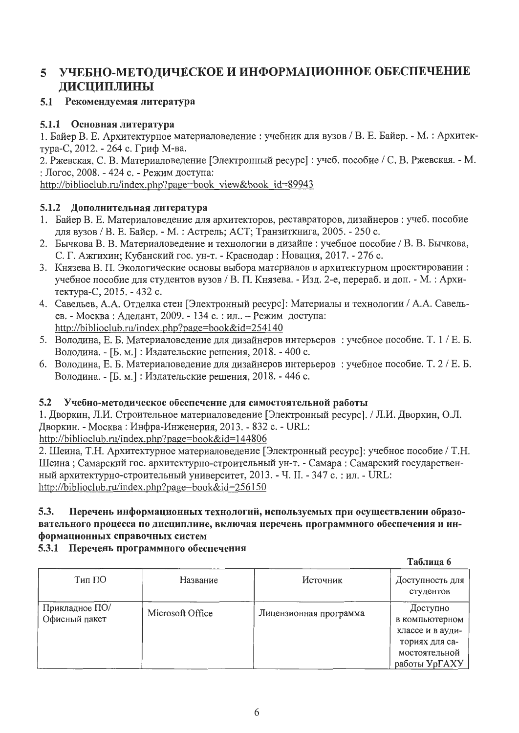### УЧЕБНО-МЕТОДИЧЕСКОЕ И ИНФОРМАЦИОННОЕ ОБЕСПЕЧЕНИЕ  $5\overline{)}$ ДИСЦИПЛИНЫ

#### Рекомендуемая литература  $5.1$

## 5.1.1 Основная литература

1. Байер В. Е. Архитектурное материаловедение : учебник для вузов / В. Е. Байер. - М. : Архитектура-С, 2012. - 264 с. Гриф М-ва.

2. Ржевская, С. В. Материаловедение [Электронный ресурс] : учеб. пособие / С. В. Ржевская. - М. : Логос, 2008. - 424 с. - Режим доступа:

http://biblioclub.ru/index.php?page=book view&book id=89943

## 5.1.2 Дополнительная литература

- 1. Байер В. Е. Материаловедение для архитекторов, реставраторов, дизайнеров: учеб. пособие для вузов / В. Е. Байер. - М.: Астрель; АСТ; Транзиткнига, 2005. - 250 с.
- 2. Бычкова В. В. Материаловедение и технологии в дизайне : учебное пособие / В. В. Бычкова, С. Г. Ажгихин; Кубанский гос. ун-т. - Краснодар : Новация, 2017. - 276 с.
- 3. Князева В. П. Экологические основы выбора материалов в архитектурном проектировании: учебное пособие для студентов вузов / В. П. Князева. - Изд. 2-е, перераб. и доп. - М. : Архитектура-С, 2015. - 432 с.
- 4. Савельев, А.А. Отделка стен [Электронный ресурс]: Материалы и технологии / А.А. Савельев. - Москва: Аделант, 2009. - 134 с. : ил.. - Режим доступа: http://biblioclub.ru/index.php?page=book&id=254140
- 5. Володина, Е. Б. Материаловедение для дизайнеров интерьеров: учебное пособие. Т. 1/ Е. Б. Володина. - [Б. м.] : Издательские решения, 2018. - 400 с.
- 6. Володина, Е. Б. Материаловедение для дизайнеров интерьеров: учебное пособие. Т. 2 / Е. Б. Володина. - [Б. м.] : Издательские решения, 2018. - 446 с.

#### $5.2$ Учебно-методическое обеспечение для самостоятельной работы

1. Дворкин, Л.И. Строительное материаловедение [Электронный ресурс]. / Л.И. Дворкин, О.Л. Дворкин. - Москва: Инфра-Инженерия, 2013. - 832 с. - URL:

http://biblioclub.ru/index.php?page=book&id=144806

2. Шеина, Т.Н. Архитектурное материаловедение [Электронный ресурс]: учебное пособие / Т.Н. Шеина; Самарский гос. архитектурно-строительный ун-т. - Самара: Самарский государственный архитектурно-строительный университет, 2013. - Ч. II. - 347 с.: ил. - URL: http://biblioclub.ru/index.php?page=book&id=256150

### 5.3. Перечень информационных технологий, используемых при осуществлении образовательного процесса по дисциплине, включая перечень программного обеспечения и информационных справочных систем

 $\mathbf{m} \cdot \mathbf{e}$  .  $\mathbf{v}$ 

## 5.3.1 Перечень программного обеспечения

|                                 |                  |                        | таолица о                                                                                          |
|---------------------------------|------------------|------------------------|----------------------------------------------------------------------------------------------------|
| Тип ПО                          | Название         | Источник               | Доступность для<br>студентов                                                                       |
| Прикладное ПО/<br>Офисный пакет | Microsoft Office | Лицензионная программа | Доступно<br>в компьютерном<br>классе и в ауди-<br>ториях для са-<br>мостоятельной<br>работы УрГАХУ |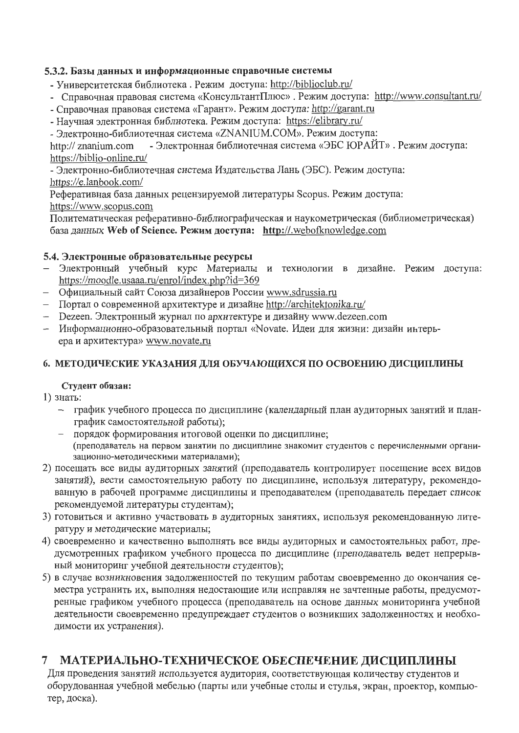# 5.3.2. Базы данных и информационные справочные системы

- Университетская библиотека. Режим доступа: http://biblioclub.ru/
- Справочная правовая система «КонсультантПлюс». Режим доступа: http://www.consultant.ru/
- Справочная правовая система «Гарант». Режим доступа: http://garant.ru
- Научная электронная библиотека. Режим доступа: https://elibrary.ru/
- Электронно-библиотечная система «ZNANIUM.COM». Режим доступа:

- Электронная библиотечная система «ЭБС ЮРАЙТ». Режим доступа: http:// znanium.com https://biblio-online.ru/

- Электронно-библиотечная система Издательства Лань (ЭБС). Режим доступа:

https://e.lanbook.com/

Реферативная база данных рецензируемой литературы Scopus. Режим доступа: https://www.scopus.com

Политематическая реферативно-библиографическая и наукометрическая (библиометрическая) база данных Web of Science. Режим доступа: http://.webofknowledge.com

## 5.4. Электронные образовательные ресурсы

- Электронный учебный курс Материалы и технологии в дизайне. Режим доступа: https://moodle.usaaa.ru/enrol/index.php?id=369
- Официальный сайт Союза дизайнеров России www.sdrussia.ru
- Портал о современной архитектуре и дизайне http://architektonika.ru/
- Dezeen. Электронный журнал по архитектуре и дизайну www.dezeen.com
- Информационно-образовательный портал «Novate. Идеи для жизни: дизайн интерьера и архитектура» www.novate.ru

## 6. МЕТОДИЧЕСКИЕ УКАЗАНИЯ ДЛЯ ОБУЧАЮЩИХСЯ ПО ОСВОЕНИЮ ДИСЦИПЛИНЫ

### Студент обязан:

- $1)$  знать:
	- график учебного процесса по дисциплине (календарный план аудиторных занятий и планграфик самостоятельной работы);
	- порядок формирования итоговой оценки по дисциплине; (преподаватель на первом занятии по дисциплине знакомит студентов с перечисленными организационно-методическими материалами);
- 2) посещать все виды аудиторных занятий (преподаватель контролирует посещение всех видов занятий), вести самостоятельную работу по дисциплине, используя литературу, рекомендованную в рабочей программе дисциплины и преподавателем (преподаватель передает список рекомендуемой литературы студентам);
- 3) готовиться и активно участвовать в аудиторных занятиях, используя рекомендованную литературу и методические материалы;
- 4) своевременно и качественно выполнять все виды аудиторных и самостоятельных работ, предусмотренных графиком учебного процесса по дисциплине (преподаватель ведет непрерывный мониторинг учебной деятельности студентов);
- 5) в случае возникновения задолженностей по текущим работам своевременно до окончания семестра устранить их, выполняя недостающие или исправляя не зачтенные работы, предусмотренные графиком учебного процесса (преподаватель на основе данных мониторинга учебной деятельности своевременно предупреждает студентов о возникших задолженностях и необходимости их устранения).

#### МАТЕРИАЛЬНО-ТЕХНИЧЕСКОЕ ОБЕСПЕЧЕНИЕ ДИСЦИПЛИНЫ -7

Для проведения занятий используется аудитория, соответствующая количеству студентов и оборудованная учебной мебелью (парты или учебные столы и стулья, экран, проектор, компьютер, доска)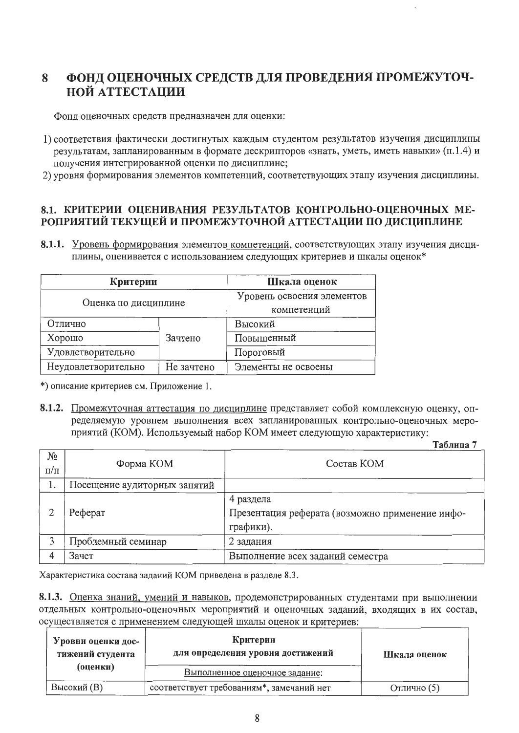### ФОНД ОЦЕНОЧНЫХ СРЕДСТВ ДЛЯ ПРОВЕДЕНИЯ ПРОМЕЖУТОЧ-8 **НОЙ АТТЕСТАЦИИ**

Фонд оценочных средств предназначен для оценки:

- 1) соответствия фактически достигнутых каждым студентом результатов изучения дисциплины результатам, запланированным в формате дескрипторов «знать, уметь, иметь навыки» (п.1.4) и получения интегрированной оценки по дисциплине;
- 2) уровня формирования элементов компетенций, соответствующих этапу изучения дисциплины.

## 8.1. КРИТЕРИИ ОЦЕНИВАНИЯ РЕЗУЛЬТАТОВ КОНТРОЛЬНО-ОЦЕНОЧНЫХ МЕ-РОПРИЯТИЙ ТЕКУЩЕЙ И ПРОМЕЖУТОЧНОЙ АТТЕСТАЦИИ ПО ДИСЦИПЛИНЕ

8.1.1. Уровень формирования элементов компетенций, соответствующих этапу изучения дисциплины, оценивается с использованием следующих критериев и шкалы оценок\*

| Критерии             | Шкала оценок                              |            |  |  |
|----------------------|-------------------------------------------|------------|--|--|
| Оценка по дисциплине | Уровень освоения элементов<br>компетенций |            |  |  |
| Отлично              |                                           | Высокий    |  |  |
| Хорошо               | Зачтено                                   | Повышенный |  |  |
| Удовлетворительно    |                                           | Пороговый  |  |  |
| Неудовлетворительно  | Элементы не освоены                       |            |  |  |

\*) описание критериев см. Приложение 1.

8.1.2. Промежуточная аттестация по дисциплине представляет собой комплексную оценку, определяемую уровнем выполнения всех запланированных контрольно-оценочных мероприятий (КОМ). Используемый набор КОМ имеет следующую характеристику:  $\mathbf{r} \cdot \mathbf{r} = \mathbf{r}$ 

|                 |                              | таолица                                                                   |
|-----------------|------------------------------|---------------------------------------------------------------------------|
| No<br>$\Pi/\Pi$ | Форма КОМ                    | Состав КОМ                                                                |
|                 | Посещение аудиторных занятий |                                                                           |
|                 | Реферат                      | 4 раздела<br>Презентация реферата (возможно применение инфо-<br>графики). |
|                 | Проблемный семинар           | 2 задания                                                                 |
| 4               | Зачет                        | Выполнение всех заданий семестра                                          |

Характеристика состава заданий КОМ приведена в разделе 8.3.

8.1.3. Оценка знаний, умений и навыков, продемонстрированных студентами при выполнении отдельных контрольно-оценочных мероприятий и оценочных заданий, входящих в их состав, осуществляется с применением следующей шкалы оценок и критериев:

| Уровни оценки дос-<br>тижений студента | Критерии<br>для определения уровня достижений | Шкала оценок |
|----------------------------------------|-----------------------------------------------|--------------|
| (оценки)                               | Выполненное оценочное задание:                |              |
| Высокий (В)                            | соответствует требованиям*, замечаний нет     | Отлично (5)  |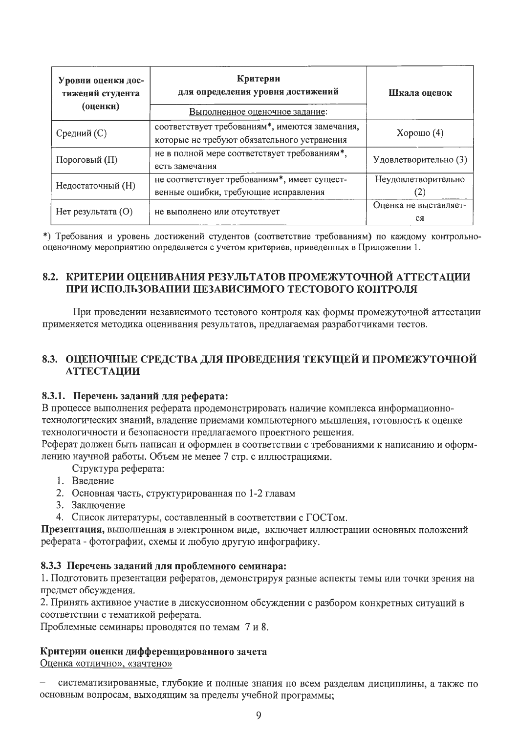| Уровни оценки дос-<br>тижений студента<br>(оценки) | Критерии<br>для определения уровня достижений<br>Выполненное оценочное задание:               | Шкала оценок                |
|----------------------------------------------------|-----------------------------------------------------------------------------------------------|-----------------------------|
| Средний (С)                                        | соответствует требованиям*, имеются замечания,<br>которые не требуют обязательного устранения | Хорошо $(4)$                |
| Пороговый (П)                                      | не в полной мере соответствует требованиям*,<br>есть замечания                                | Удовлетворительно (3)       |
| Недостаточный (Н)                                  | не соответствует требованиям*, имеет сущест-<br>венные ошибки, требующие исправления          | Неудовлетворительно<br>(2)  |
| Нет результата (О)                                 | не выполнено или отсутствует                                                                  | Оценка не выставляет-<br>ся |

\*) Требования и уровень достижений студентов (соответствие требованиям) по каждому контрольнооценочному мероприятию определяется с учетом критериев, приведенных в Приложении 1.

# 8.2. КРИТЕРИИ ОЦЕНИВАНИЯ РЕЗУЛЬТАТОВ ПРОМЕЖУТОЧНОЙ АТТЕСТАЦИИ ПРИ ИСПОЛЬЗОВАНИИ НЕЗАВИСИМОГО ТЕСТОВОГО КОНТРОЛЯ

При проведении независимого тестового контроля как формы промежуточной аттестации применяется методика оценивания результатов, предлагаемая разработчиками тестов.

# 8.3. ОЦЕНОЧНЫЕ СРЕДСТВА ДЛЯ ПРОВЕДЕНИЯ ТЕКУЩЕЙ И ПРОМЕЖУТОЧНОЙ **АТТЕСТАЦИИ**

## 8.3.1. Перечень заданий для реферата:

В процессе выполнения реферата продемонстрировать наличие комплекса информационнотехнологических знаний, владение приемами компьютерного мышления, готовность к оценке технологичности и безопасности предлагаемого проектного решения.

Реферат должен быть написан и оформлен в соответствии с требованиями к написанию и оформлению научной работы. Объем не менее 7 стр. с иллюстрациями.

Структура реферата:

- 1. Введение
- 2. Основная часть, структурированная по 1-2 главам
- 3. Заключение
- 4. Список литературы, составленный в соответствии с ГОСТом.

Презентация, выполненная в электронном виде, включает иллюстрации основных положений реферата - фотографии, схемы и любую другую инфографику.

## 8.3.3 Перечень заданий для проблемного семинара:

1. Подготовить презентации рефератов, демонстрируя разные аспекты темы или точки зрения на предмет обсуждения.

2. Принять активное участие в дискуссионном обсуждении с разбором конкретных ситуаций в соответствии с тематикой реферата.

Проблемные семинары проводятся по темам 7 и 8.

## Критерии оценки дифференцированного зачета

Оценка «отлично», «зачтено»

систематизированные, глубокие и полные знания по всем разделам дисциплины, а также по основным вопросам, выходящим за пределы учебной программы;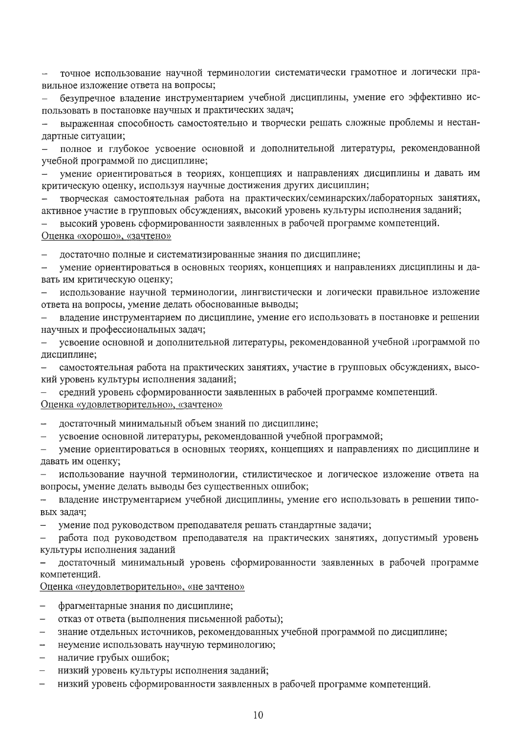точное использование научной терминологии систематически грамотное и логически пра- $\overline{\phantom{m}}$ вильное изложение ответа на вопросы;

безупречное владение инструментарием учебной дисциплины, умение его эффективно ис- $\qquad \qquad$ пользовать в постановке научных и практических задач;

выраженная способность самостоятельно и творчески решать сложные проблемы и нестандартные ситуации;

полное и глубокое усвоение основной и дополнительной литературы, рекомендованной учебной программой по дисциплине;

умение ориентироваться в теориях, концепциях и направлениях дисциплины и давать им критическую оценку, используя научные достижения других дисциплин;

творческая самостоятельная работа на практических/семинарских/лабораторных занятиях, активное участие в групповых обсуждениях, высокий уровень культуры исполнения заданий;

высокий уровень сформированности заявленных в рабочей программе компетенций.

### Оценка «хорошо», «зачтено»

достаточно полные и систематизированные знания по дисциплине;

умение ориентироваться в основных теориях, концепциях и направлениях дисциплины и давать им критическую оценку;

использование научной терминологии, лингвистически и логически правильное изложение ответа на вопросы, умение делать обоснованные выводы;

владение инструментарием по дисциплине, умение его использовать в постановке и решении научных и профессиональных задач;

усвоение основной и дополнительной литературы, рекомендованной учебной программой по  $\overline{\phantom{0}}$ дисциплине;

самостоятельная работа на практических занятиях, участие в групповых обсуждениях, высокий уровень культуры исполнения заданий;

средний уровень сформированности заявленных в рабочей программе компетенций. Оценка «удовлетворительно», «зачтено»

- достаточный минимальный объем знаний по дисциплине;
- усвоение основной литературы, рекомендованной учебной программой;  $\overline{\phantom{0}}$

умение ориентироваться в основных теориях, концепциях и направлениях по дисциплине и давать им оценку;

использование научной терминологии, стилистическое и логическое изложение ответа на вопросы, умение делать выводы без существенных ошибок;

владение инструментарием учебной дисциплины, умение его использовать в решении типо- $\overline{\phantom{m}}$ вых задач;

умение под руководством преподавателя решать стандартные задачи;

работа под руководством преподавателя на практических занятиях, допустимый уровень культуры исполнения заданий

достаточный минимальный уровень сформированности заявленных в рабочей программе компетенций.

<u>Оценка «неудовлетворительно», «не зачтено»</u>

- фрагментарные знания по дисциплине;
- $\overline{\phantom{0}}$ отказ от ответа (выполнения письменной работы);
- знание отдельных источников, рекомендованных учебной программой по дисциплине;  $\overline{\phantom{0}}$
- неумение использовать научную терминологию;
- наличие грубых ошибок;
- низкий уровень культуры исполнения заданий;  $\overline{\phantom{0}}$
- низкий уровень сформированности заявленных в рабочей программе компетенций.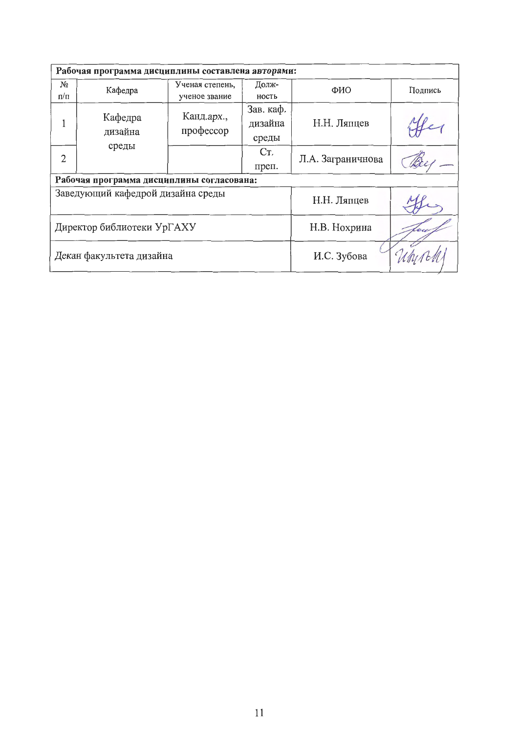| Рабочая программа дисциплины составлена авторами: |                    |                         |                      |                   |         |  |  |  |  |  |
|---------------------------------------------------|--------------------|-------------------------|----------------------|-------------------|---------|--|--|--|--|--|
| No                                                | Кафедра            | Ученая степень,         | Долж-                | ФИО               | Подпись |  |  |  |  |  |
| п/п                                               |                    | ученое звание           | ность                |                   |         |  |  |  |  |  |
|                                                   | Кафедра<br>дизайна | Канд.арх.,<br>профессор | Зав. каф.<br>дизайна | Н.Н. Ляпцев       |         |  |  |  |  |  |
|                                                   | среды              |                         | среды                |                   |         |  |  |  |  |  |
| $\overline{2}$                                    |                    |                         | C <sub>T</sub> .     | Л.А. Заграничнова |         |  |  |  |  |  |
|                                                   |                    |                         | преп.                |                   |         |  |  |  |  |  |
| Рабочая программа дисциплины согласована:         |                    |                         |                      |                   |         |  |  |  |  |  |
| Заведующий кафедрой дизайна среды                 |                    |                         |                      | Н.Н. Ляпцев       |         |  |  |  |  |  |
| Директор библиотеки УрГАХУ                        |                    |                         |                      | Н.В. Нохрина      |         |  |  |  |  |  |
| Декан факультета дизайна                          |                    |                         |                      | И.С. Зубова       |         |  |  |  |  |  |